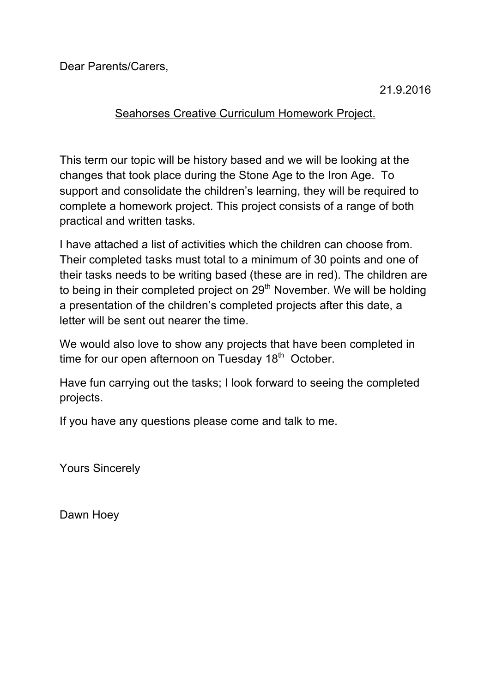Dear Parents/Carers,

21.9.2016

## Seahorses Creative Curriculum Homework Project.

This term our topic will be history based and we will be looking at the changes that took place during the Stone Age to the Iron Age. To support and consolidate the children's learning, they will be required to complete a homework project. This project consists of a range of both practical and written tasks.

I have attached a list of activities which the children can choose from. Their completed tasks must total to a minimum of 30 points and one of their tasks needs to be writing based (these are in red). The children are to being in their completed project on  $29<sup>th</sup>$  November. We will be holding a presentation of the children's completed projects after this date, a letter will be sent out nearer the time.

We would also love to show any projects that have been completed in time for our open afternoon on Tuesday  $18<sup>th</sup>$  October.

Have fun carrying out the tasks; I look forward to seeing the completed projects.

If you have any questions please come and talk to me.

Yours Sincerely

Dawn Hoey